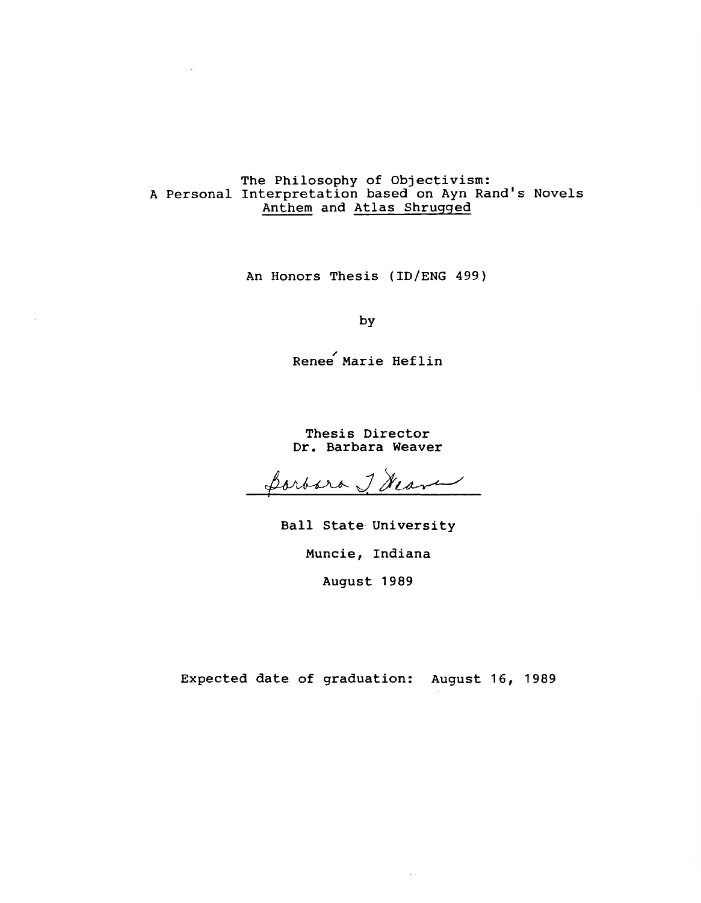# The Philosophy of Objectivism: A Personal Interpretation based on Ayn Rand's Novels Anthem and Atlas Shrugged

An Honors Thesis (ID/ENG 499)

by

Renee Marie Heflin

Thesis Director Dr. Barbara Weaver

Portora J. Heave

Ball State University Muncie, Indiana August 1989

Expected date of graduation: August 16, 1989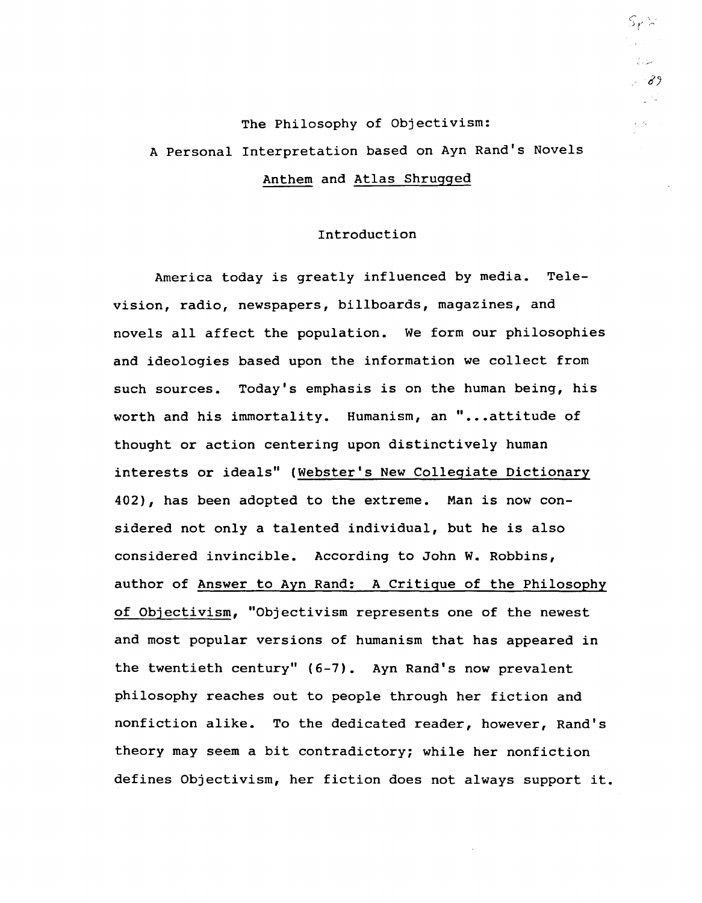# The Philosophy of Objectivism: A Personal Interpretation based on Ayn Rand's Novels Anthem and Atlas Shrugged

## Introduction

America today is greatly influenced by media. Television, radio, newspapers, billboards, magazines, and novels all affect the population. We form our philosophies and ideologies based upon the information we collect from such sources. Today's emphasis is on the human being, his worth and his immortality. Humanism, an "...attitude of thought or action centering upon distinctively human interests or ideals" (Webster's New Collegiate Dictionary 402), has been adopted to the extreme. Man is now considered not only a talented individual, but he is also considered invincible. According to John W. Robbins, author of Answer to Ayn Rand: A Critigue of the Philosophy of Objectivism, "Objectivism represents one of the newest and most popular versions of humanism that has appeared in the twentieth century" (6-7). Ayn Rand's now prevalent philosophy reaches out to people through her fiction and nonfiction alike. To the dedicated reader, however, Rand's theory may seem a bit contradictory; while her nonfiction defines Objectivism, her fiction does not always support it.  $\mathcal{S}_{\bm{\ell}}$  )  $\sim$  $\mathbb{R}^{\mathbb{Z}^2}$ سناري  $-39$ - 42

 $\mathcal{O}(\mathcal{O})$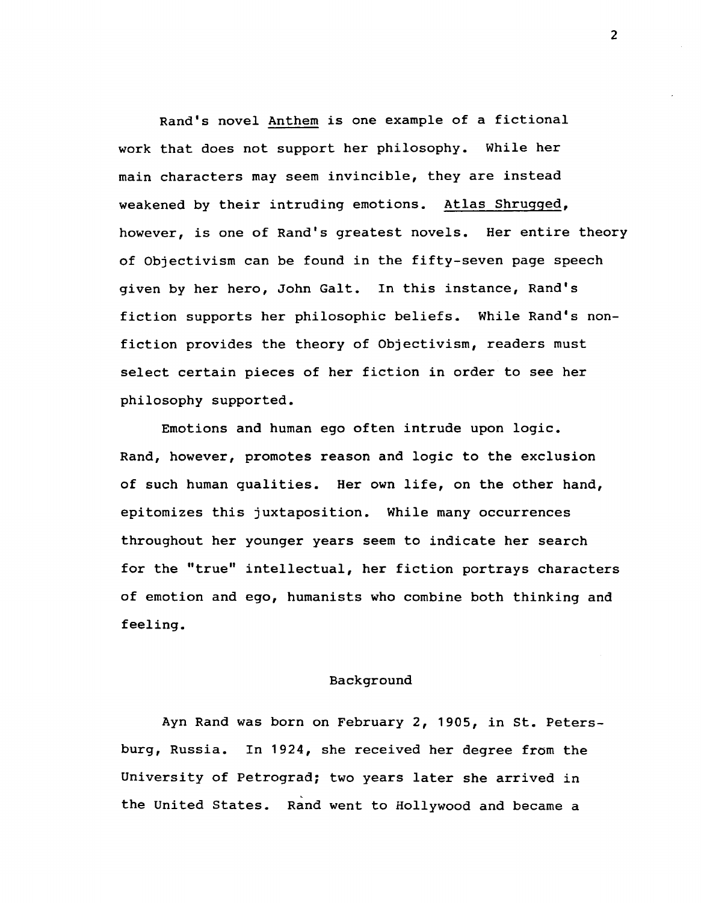Rand's novel Anthem is one example of a fictional work that does not support her philosophy. While her main characters may seem invincible, they are instead weakened by their intruding emotions. Atlas Shrugged, however, is one of Rand's greatest novels. Her entire theory of Objectivism can be found in the fifty-seven page speech given by her hero, John Galt. In this instance, Rand's fiction supports her philosophic beliefs. While Rand's nonfiction provides the theory of Objectivism, readers must select certain pieces of her fiction in order to see her philosophy supported.

Emotions and human ego often intrude upon logic. Rand, however, promotes reason and logic to the exclusion of such human qualities. Her own life, on the other hand, epitomizes this juxtaposition. While many occurrences throughout her younger years seem to indicate her search for the "true" intellectual, her fiction portrays characters of emotion and ego, humanists who combine both thinking and feeling.

#### Background

Ayn Rand was born on February 2, 1905, in st. Petersburg, Russia. In 1924, she received her degree from the University of Petrogradj two years later she arrived in the United States. Rand went to Hollywood and became a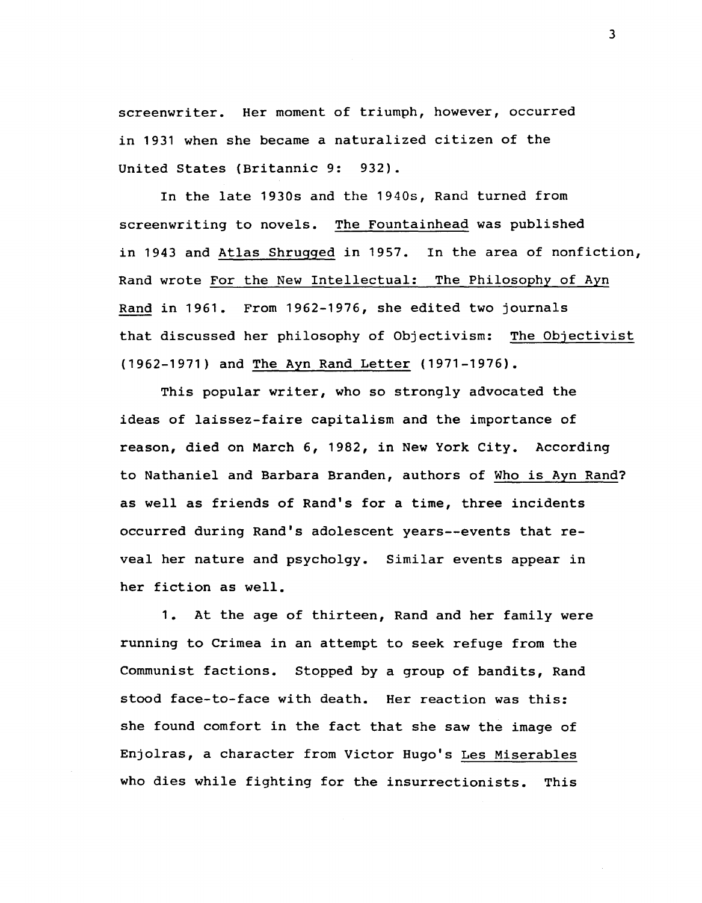screenwriter. Her moment of triumph, however, occurred in 1931 when she became a naturalized citizen of the United States (Britannic 9: 932).

In the late 1930s and the 1940s, Rand turned from screenwriting to novels. The Fountainhead was published in 1943 and Atlas Shrugged in 1957. In the area of nonfiction, Rand wrote For the New Intellectual: The Philosophy of Ayn Rand in 1961. From 1962-1976, she edited two journals that discussed her philosophy of Objectivism: The Objectivist (1962-1971) and The Ayn Rand Letter (1971-1976).

This popular writer, who so strongly advocated the ideas of laissez-faire capitalism and the importance of reason, died on March 6, 1982, in New York City. According to Nathaniel and Barbara Branden, authors of Who is Ayn Rand? as well as friends of Rand's for a time, three incidents occurred during Rand's adolescent years--events that reveal her nature and psycholgy. Similar events appear in her fiction as well.

1. At the age of thirteen, Rand and her family were running to Crimea in an attempt to seek refuge from the Communist factions. Stopped by a group of bandits, Rand stood face-to-face with death. Her reaction was this: she found comfort in the fact that she saw the image of Enjolras, a character from Victor Hugo's Les Miserables who dies while fighting for the insurrectionists. This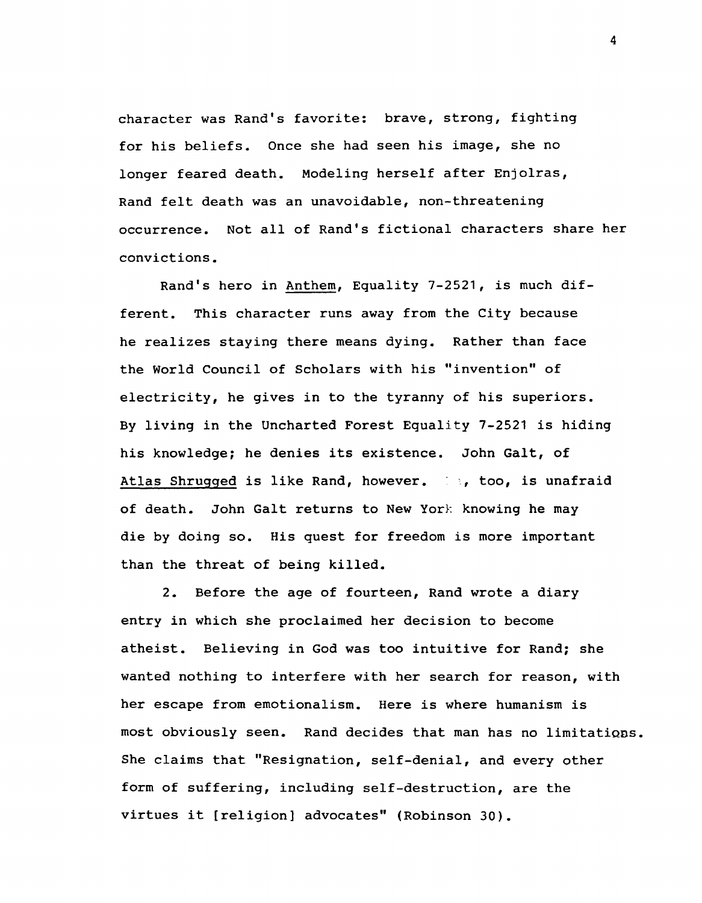character was Rand's favorite: brave, strong, fighting for his beliefs. Once she had seen his image, she no longer feared death. Modeling herself after Enjolras, Rand felt death was an unavoidable, non-threatening occurrence. Not all of Rand's fictional characters share her convictions.

Rand's hero in Anthem, Equality 7-2521, is much different. This character runs away from the City because he realizes staying there means dying. Rather than face the World Council of Scholars with his "invention" of electricity, he gives in to the tyranny of his superiors. By living in the Uncharted Forest Equality 7-2521 is hiding his knowledge; he denies its existence. John Galt, of Atlas Shrugged is like Rand, however. (1), too, is unafraid of death. John Galt returns to New York knowing he may die by doing so. His quest for freedom is more important than the threat of being killed.

2. Before the age of fourteen, Rand wrote a diary entry in which she proclaimed her decision to become atheist. Believing in God was too intuitive for Rand; she wanted nothing to interfere with her search for reason, with her escape from emotionalism. Here is where humanism is most obviously seen. Rand decides that man has no limitations. She claims that "Resignation, self-denial, and every other form of suffering, including self-destruction, are the virtues it [religion] advocates" (Robinson 30).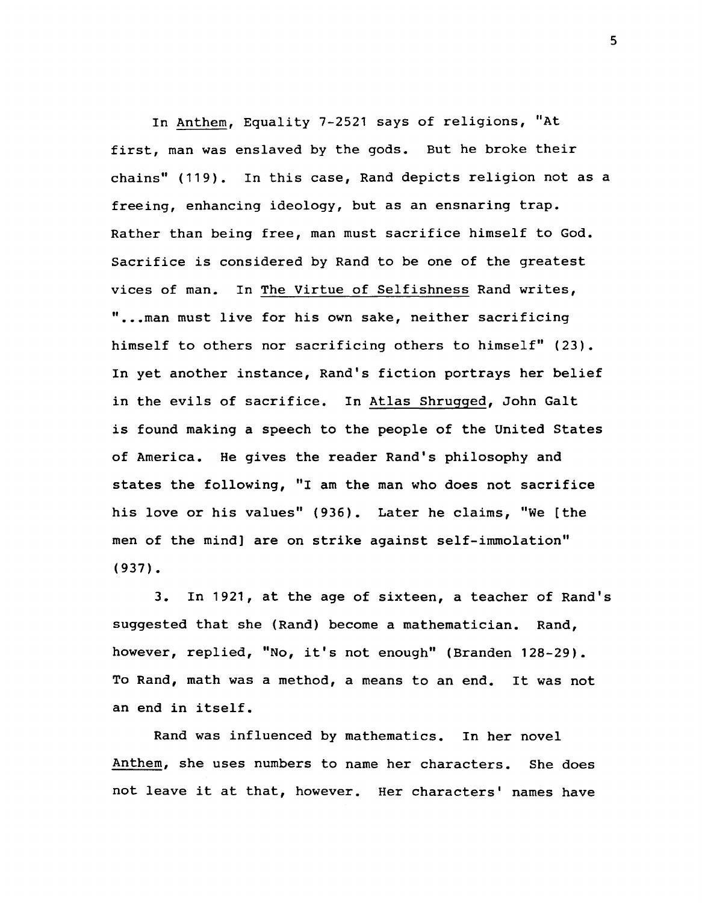In Anthem, Equality 7-2521 says of religions, "At first, man was enslaved by the gods. But he broke their chains" (119). In this case, Rand depicts religion not as a freeing, enhancing ideology, but as an ensnaring trap. Rather than being free, man must sacrifice himself to God. Sacrifice is considered by Rand to be one of the greatest vices of man. In The Virtue of Selfishness Rand writes, "... man must live for his own sake, neither sacrificing himself to others nor sacrificing others to himself" (23). In yet another instance, Rand's fiction portrays her belief in the evils of sacrifice. In Atlas Shrugged, John Galt is found making a speech to the people of the United States of America. He gives the reader Rand's philosophy and states the following, "I am the man who does not sacrifice his love or his values" (936). Later he claims, "We [the men of the mind] are on strike against self-immolation" (937).

3. In 1921, at the age of sixteen, a teacher of Rand's suggested that she (Rand) become a mathematician. Rand, however, replied, "No, it's not enough" (Branden 128-29). To Rand, math was a method, a means to an end. It was not an end in itself.

Rand was influenced by mathematics. In her novel Anthem, she uses numbers to name her characters. She does not leave it at that, however. Her characters' names have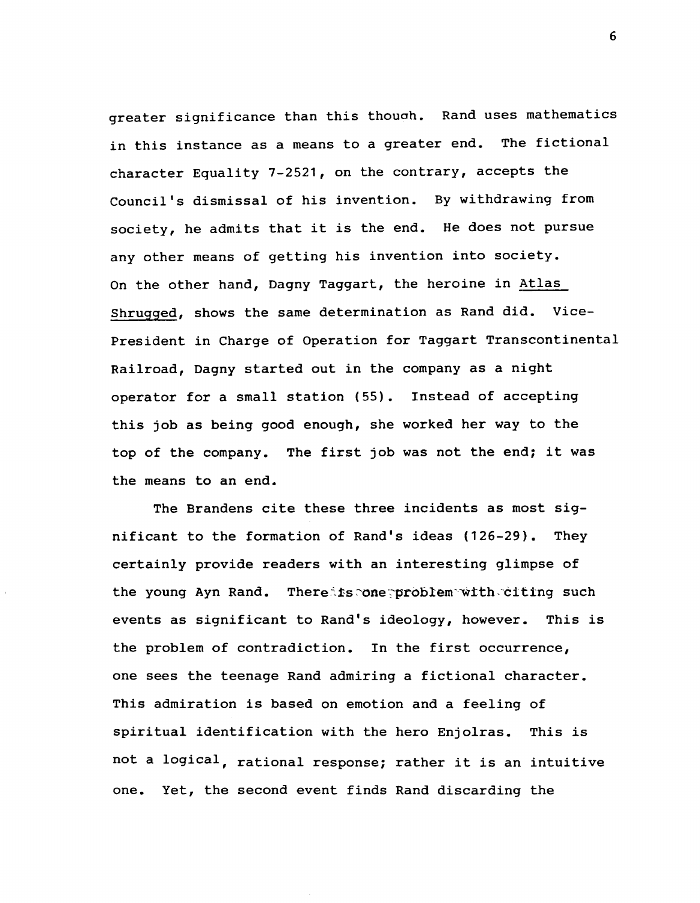greater significance than this thouoh. Rand uses mathematics in this instance as a means to a greater end. The fictional character Equality 7-2521, on the contrary, accepts the Council's dismissal of his invention. By withdrawing from society, he admits that it is the end. He does not pursue any other means of getting his invention into society. On the other hand, Dagny Taggart, the heroine in Atlas Shrugged, shows the same determination as Rand did. Vice-President in Charge of Operation for Taggart Transcontinental Railroad, Dagny started out in the company as a night operator for a small station (55). Instead of accepting this job as being good enough, she worked her way to the top of the company. The first job was not the end; it was the means to an end.

The Brandens cite these three incidents as most significant to the formation of Rand's ideas (126-29). They certainly provide readers with an interesting glimpse of the young Ayn Rand. Thereits:one:problem-with.citing such events as significant to Rand's ideology, however. This is the problem of contradiction. In the first occurrence, one sees the teenage Rand admiring a fictional character. This admiration is based on emotion and a feeling of spiritual identification with the hero Enjolras. This is not a logical, rational response; rather it is an intuitive one. Yet, the second event finds Rand discarding the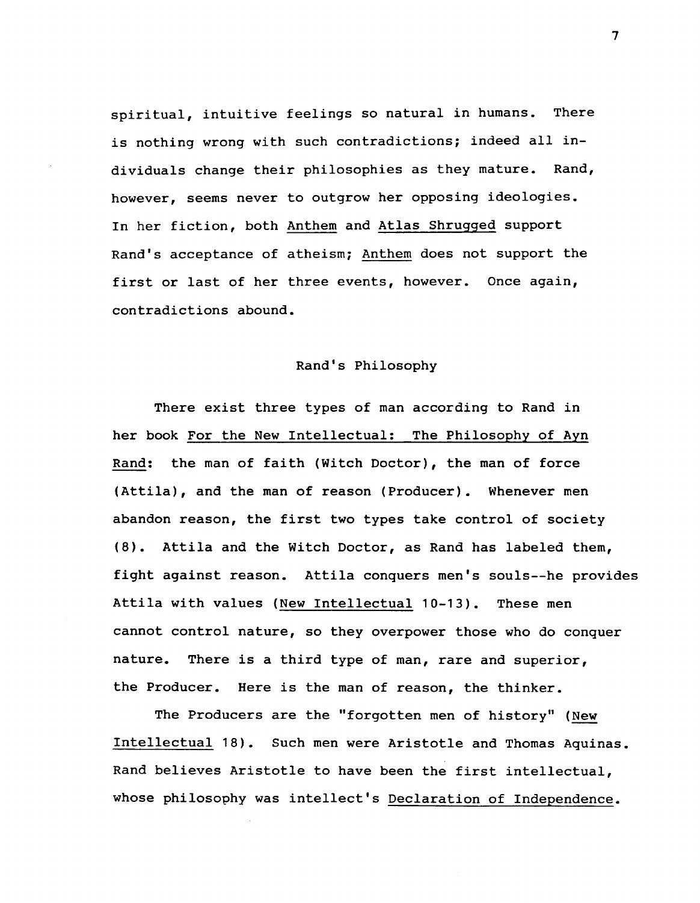spiritual, intuitive feelings so natural in humans. There is nothing wrong with such contradictions; indeed all individuals change their philosophies as they mature. Rand, however, seems never to outgrow her opposing ideologies. In her fiction, both Anthem and Atlas Shrugged support Rand's acceptance of atheism; Anthem does not support the first or last of her three events, however. Once again, contradictions abound.

## Rand's Philosophy

There exist three types of man according to Rand in her book For the New Intellectual: The Philosophy of Ayn Rand: the man of faith (Witch Doctor), the man of force (Attila), and the man of reason (Producer). Whenever men abandon reason, the first two types take control of society (8). Attila and the Witch Doctor, as Rand has labeled them, fight against reason. Attila conquers men's souls--he provides Attila with values (New Intellectual 10-13). These men cannot control nature, so they overpower those who do conquer nature. There is a third type of man, rare and superior, the Producer. Here is the man of reason, the thinker.

The Producers are the "forgotten men of history" (New Intellectual 18). Such men were Aristotle and Thomas Aquinas. Rand believes Aristotle to have been the first intellectual, whose philosophy was intellect's Declaration of Independence.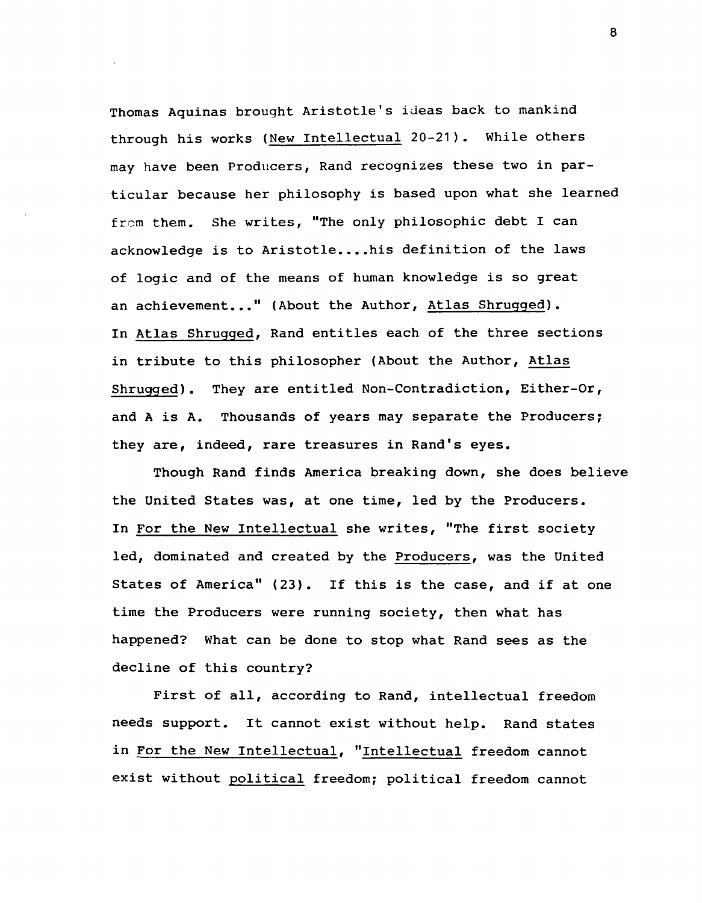Thomas Aquinas brought Aristotle's ideas back to mankind through his works (New Intellectual 20-21). While others may have been Producers, Rand recognizes these two in particular because her philosophy is based upon what she learned from them. She writes, "The only philosophic debt I can acknowledge is to Aristotle....his definition of the laws of logic and of the means of human knowledge is so great an achievement..." (About the Author, Atlas Shrugged). In Atlas Shrugged, Rand entitles each of the three sections in tribute to this philosopher (About the Author, Atlas Shrugged). They are entitled Non-Contradiction, Either-Or, and A is A. Thousands of years may separate the Producers; they are, indeed, rare treasures in Rand's eyes.

Though Rand finds America breaking down, she does believe the United States was, at one time, led by the Producers. In For the New Intellectual she writes, "The first society led, dominated and created by the Producers, was the United States of America" (23). If this is the case, and if at one time the Producers were running society, then what has happened? What can be done to stop what Rand sees as the decline of this country?

First of all, according to Rand, intellectual freedom needs support. It cannot exist without help. Rand states in For the New Intellectual, "Intellectual freedom cannot exist without political freedom; political freedom cannot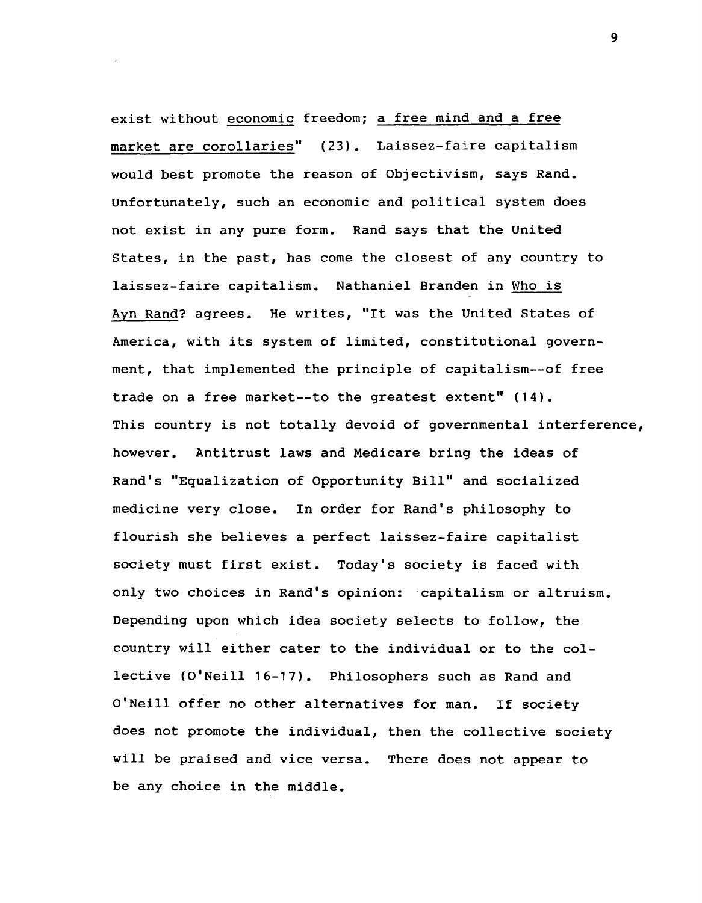exist without economic freedom; a free mind and a free market are corollaries" (23). Laissez-faire capitalism would best promote the reason of Objectivism, says Rand. Unfortunately, such an economic and political system does not exist in any pure form. Rand says that the United states, in the past, has come the closest of any country to laissez-faire capitalism. Nathaniel Branden in Who is Ayn Rand? agrees. He writes, "It was the United states of America, with its system of limited, constitutional government, that implemented the principle of capitalism--of free trade on a free market--to the greatest extent" (14). This country is not totally devoid of governmental interference, however. Antitrust laws and Medicare bring the ideas of Rand's "Equalization of Opportunity Bill" and socialized medicine very close. In order for Rand's philosophy to flourish she believes a perfect laissez-faire capitalist society must first exist. Today's society is faced with only two choices in Rand's opinion: capitalism or altruism. Depending upon which idea society selects to follow, the country will either cater to the individual or to the collective (O'Neill 16-17). Philosophers such as Rand and O'Neill offer no other alternatives for man. If society does not promote the individual, then the collective society will be praised and vice versa. There does not appear to be any choice in the middle.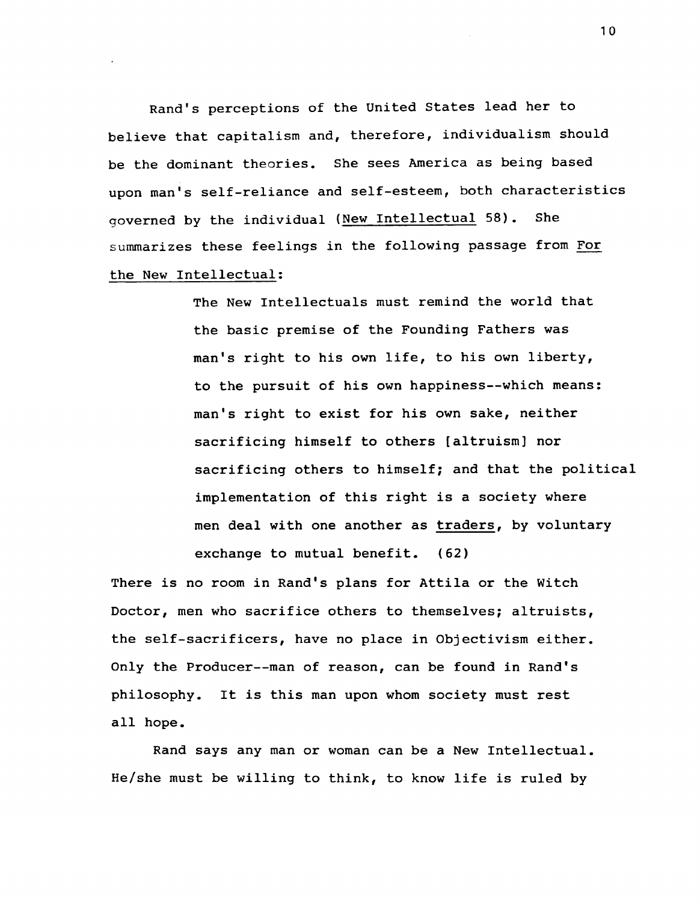Rand's perceptions of the United states lead her to believe that capitalism and, therefore, individualism should be the dominant theories. She sees America as being based upon man's self-reliance and self-esteem, both characteristics governed by the individual (New Intellectual 58). She summarizes these feelings in the following passage from For the New Intellectual:

> The New Intellectuals must remind the world that the basic premise of the Founding Fathers was man's right to his own life, to his own liberty, to the pursuit of his own happiness--which means: man's right to exist for his own sake, neither sacrificing himself to others [altruism] nor sacrificing others to himself; and that the political implementation of this right is a society where men deal with one another as traders, by voluntary exchange to mutual benefit. (62)

There is no room in Rand's plans for Attila or the Witch Doctor, men who sacrifice others to themselves; altruists, the self-sacrificers, have no place in Objectivism either. Only the Producer--man of reason, can be found in Rand's philosophy. It is this man upon whom society must rest all hope.

Rand says any man or woman can be a New Intellectual. He/she must be willing to think, to know life is ruled by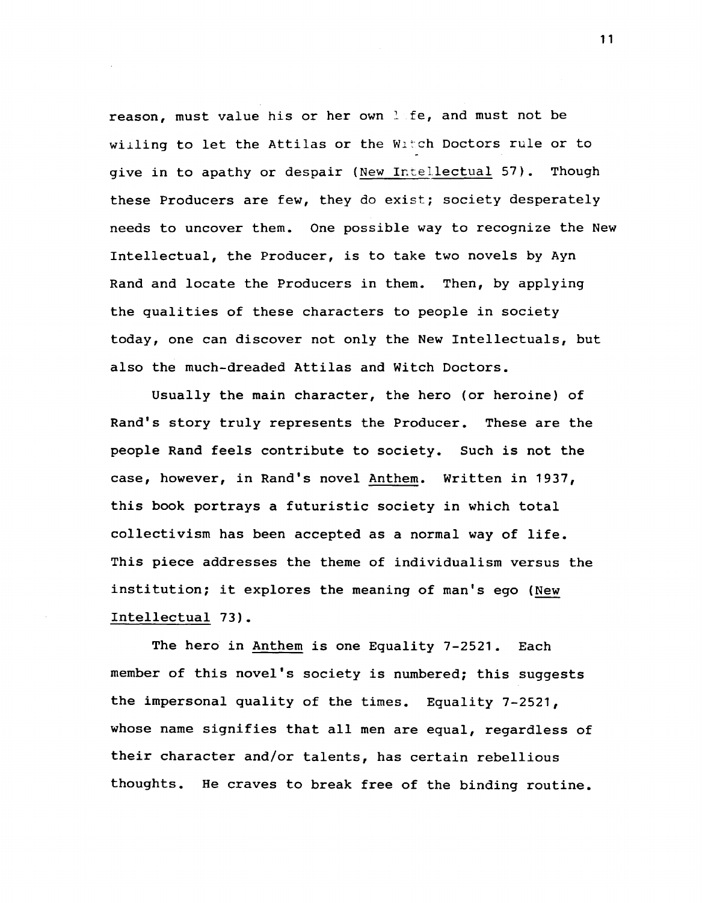reason, must value his or her own lafe, and must not be willing to let the Attilas or the Witch Doctors rule or to give in to apathy or despair (New Intellectual 57). Though these Producers are few, they do exist; society desperately needs to uncover them. One possible way to recognize the New Intellectual, the Producer, is to take two novels by Ayn Rand and locate the Producers in them. Then, by applying the qualities of these characters to people in society today, one can discover not only the New Intellectuals, but also the much-dreaded Attilas and Witch Doctors.

Usually the main character, the hero (or heroine) of Rand's story truly represents the Producer. These are the people Rand feels contribute to society. Such is not the case, however, in Rand's novel Anthem. Written in 1937, this book portrays a futuristic society in which total collectivism has been accepted as a normal way of life. This piece addresses the theme of individualism versus the institution; it explores the meaning of man's ego (New Intellectual 73).

The hero in Anthem is one Equality 7-2521. Each member of this novel's society is numbered; this suggests the impersonal quality of the times. Equality 7-2521, whose name signifies that all men are equal, regardless of their character and/or talents, has certain rebellious thoughts. He craves to break free of the binding routine.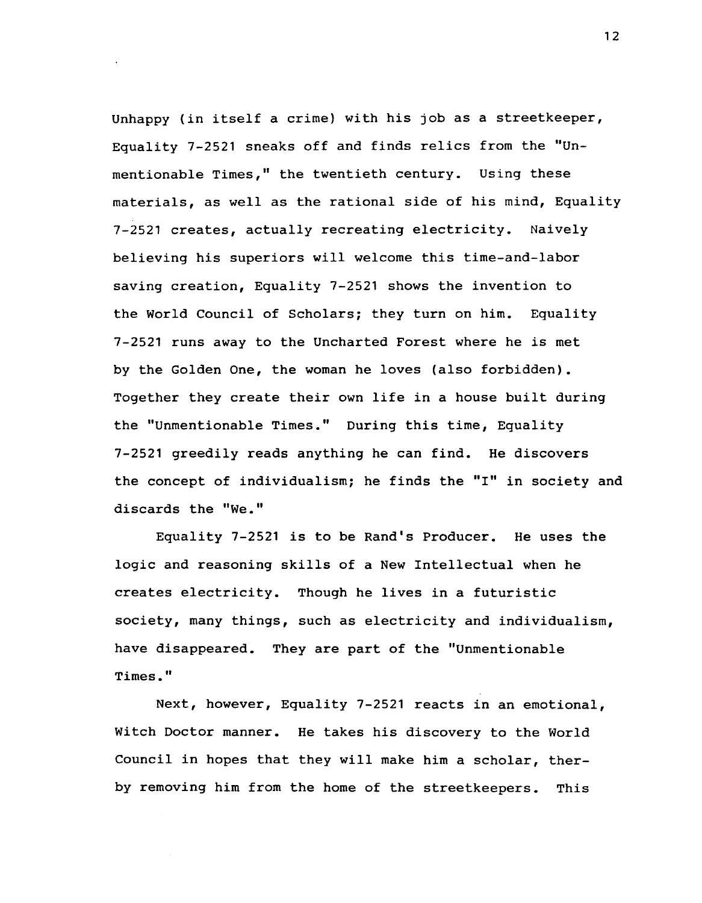Unhappy (in itself a crime) with his job as a streetkeeper, Equality 7-2521 sneaks off and finds relics from the "Unmentionable Times," the twentieth century. Using these materials, as well as the rational side of his mind, Equality 7-2521 creates, actually recreating electricity. Naively believing his superiors will welcome this time-and-Iabor saving creation, Equality 7-2521 shows the invention to the World Council of Scholars; they turn on him. Equality 7-2521 runs away to the Uncharted Forest where he is met by the Golden One, the woman he loves (also forbidden). Together they create their own life in a house built during the "Unmentionable Times." During this time, Equality 7-2521 greedily reads anything he can find. He discovers the concept of individualism; he finds the "I" in society and discards the "We."

Equality 7-2521 is to be Rand's Producer. He uses the logic and reasoning skills of a New Intellectual when he creates electricity. Though he lives in a futuristic society, many things, such as electricity and individualism, have disappeared. They are part of the "Unmentionable Times."

Next, however, Equality 7-2521 reacts in an emotional, Witch Doctor manner. He takes his discovery to the World Council in hopes that they will make him a scholar, therby removing him from the home of the streetkeepers. This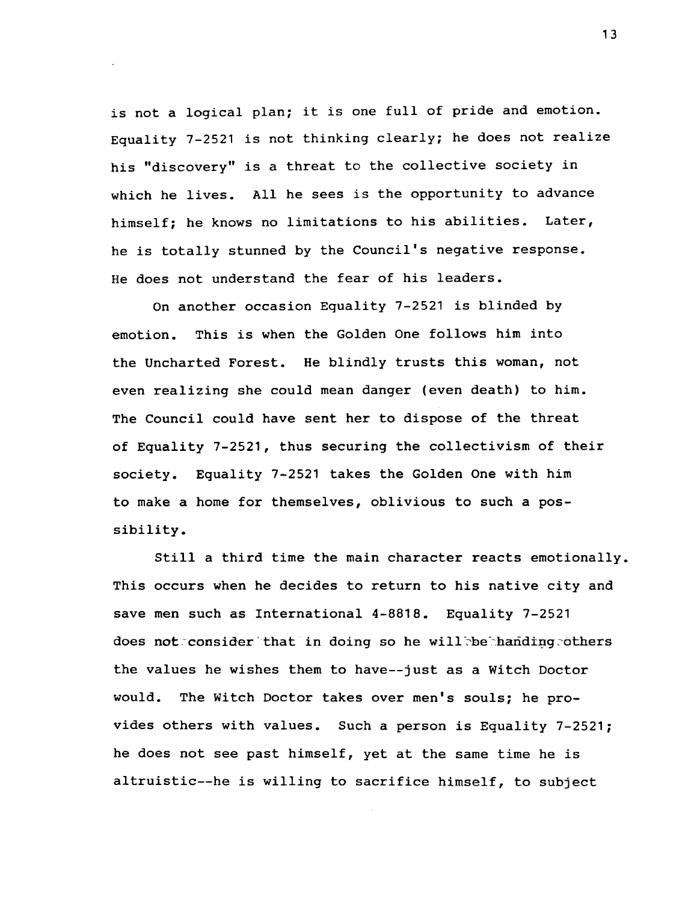is not a logical plan; it is one full of pride and emotion. Equality 7-2521 is not thinking clearly; he does not realize his "discovery" is a threat to the collective society in which he lives. All he sees is the opportunity to advance himself; he knows no limitations to his abilities. Later, he is totally stunned by the Council's negative response. He does not understand the fear of his leaders.

On another occasion Equality 7-2521 is blinded by emotion. This is when the Golden One follows him into the Uncharted Forest. He blindly trusts this woman, not even realizing she could mean danger (even death) to him. The Council could have sent her to dispose of the threat of Equality 7-2521, thus securing the collectivism of their society. Equality 7-2521 takes the Golden One with him to make a home for themselves, oblivious to such a possibility.

Still a third time the main character reacts emotionally. This occurs when he decides to return to his native city and save men such as International 4-8818. Equality 7-2521 does not:consider that in doing so he will be handing others the values he wishes them to have--just as a Witch Doctor would. The Witch Doctor takes over men's souls; he provides others with values. Such a person is Equality 7-2521; he does not see past himself, yet at the same time he is altruistic--he is willing to sacrifice himself, to subject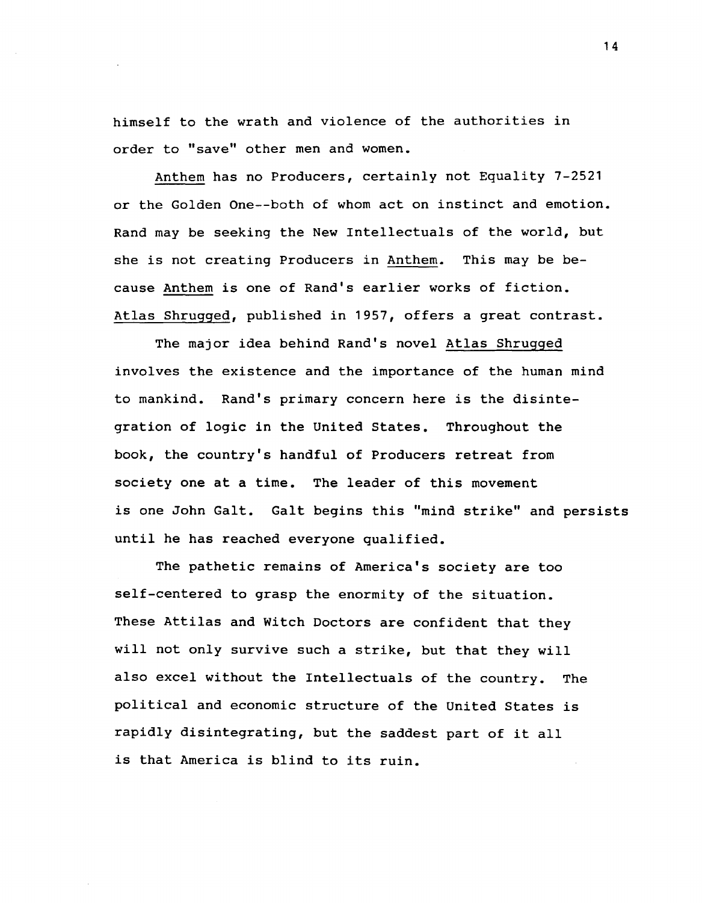himself to the wrath and violence of the authorities in order to "save" other men and women.

Anthem has no Producers, certainly not Equality 7-2521 or the Golden One--both of whom act on instinct and emotion. Rand may be seeking the New Intellectuals of the world, but she is not creating Producers in Anthem. This may be because Anthem is one of Rand's earlier works of fiction. Atlas Shrugged, published in 1957, offers a great contrast.

The major idea behind Rand's novel Atlas Shrugged involves the existence and the importance of the human mind to mankind. Rand's primary concern here is the disintegration of logic in the United States. Throughout the book, the country's handful of Producers retreat from society one at a time. The leader of this movement is one John Galt. Galt begins this "mind strike" and persists until he has reached everyone qualified.

The pathetic remains of America's society are too self-centered to grasp the enormity of the situation. These Attilas and Witch Doctors are confident that they will not only survive such a strike, but that they will also excel without the Intellectuals of the country. The political and economic structure of the United States is rapidly disintegrating, but the saddest part of it all is that America is blind to its ruin.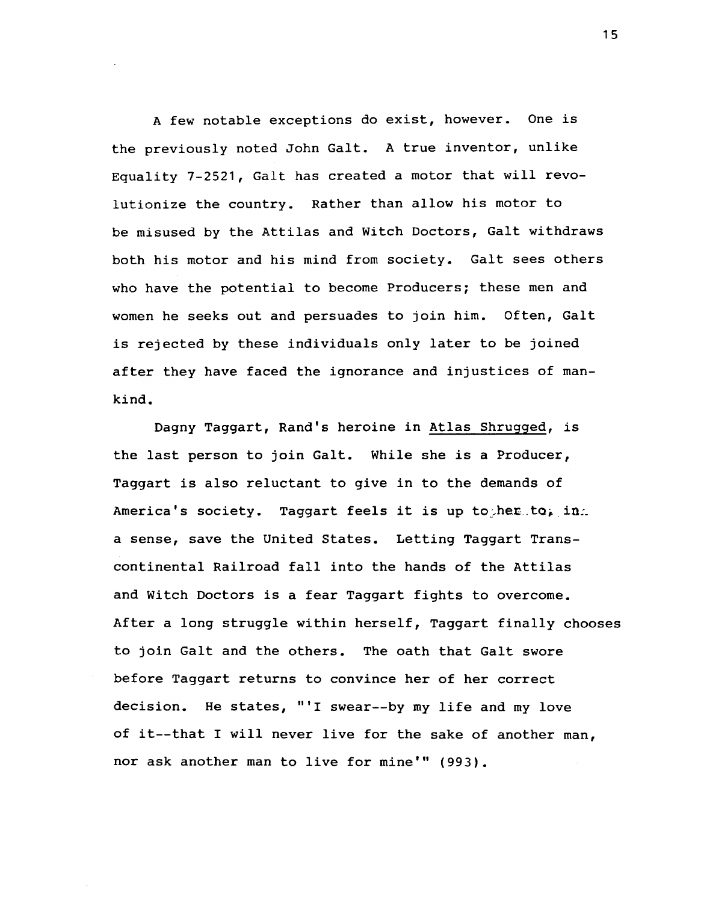A few notable exceptions do exist, however. One is the previously noted John Galt. A true inventor, unlike Equality 7-2521, Galt has created a motor that will revolutionize the country. Rather than allow his motor to be misused by the Attilas and Witch Doctors, Galt withdraws both his motor and his mind from society. Galt sees others who have the potential to become Producers; these men and women he seeks out and persuades to join him. Often, Galt is rejected by these individuals only later to be joined after they have faced the ignorance and injustices of mankind.

Dagny Taggart, Rand's heroine in Atlas Shrugged, is the last person to join Galt. While she is a Producer, Taggart is also reluctant to give in to the demands of America's society. Taggart feels it is up to her to, in. a sense, save the United States. Letting Taggart Transcontinental Railroad fall into the hands of the Attilas and Witch Doctors is a fear Taggart fights to overcome. After a long struggle within herself, Taggart finally chooses to join Galt and the others. The oath that Galt swore before Taggart returns to convince her of her correct decision. He states, "'I swear--by my life and my love of it--that I will never live for the sake of another man, nor ask another man to live for mine'" (993).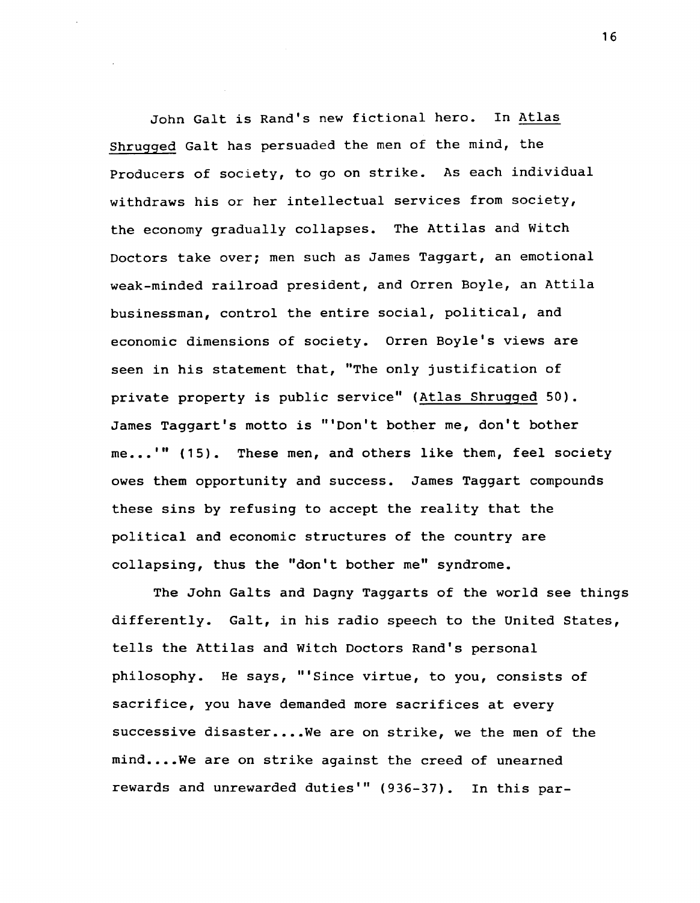John Galt is Rand's new fictional hero. In Atlas Shrugged Galt has persuaded the men of the mind, the Producers of society, to go on strike. As each individual withdraws his or her intellectual services from society, the economy gradually collapses. The Attilas and Witch Doctors take over; men such as James Taggart, an emotional weak-minded railroad president, and Orren Boyle, an Attila businessman, control the entire social, political, and economic dimensions of society. Orren Boyle's views are seen in his statement that, "The only justification of private property is public service" (Atlas Shrugged 50). James Taggart's motto is "'Don't bother me, don't bother me...'" (15). These men, and others like them, feel society owes them opportunity and success. James Taggart compounds these sins by refusing to accept the reality that the political and economic structures of the country are collapsing, thus the "don't bother me" syndrome.

The John GaIts and Dagny Taggarts of the world see things differently. Galt, in his radio speech to the United States, tells the Attilas and Witch Doctors Rand's personal philosophy. He says, "'Since virtue, to you, consists of sacrifice, you have demanded more sacrifices at every successive disaster....We are on strike, we the men of the mind....We are on strike against the creed of unearned rewards and unrewarded duties'" (936-37). In this par-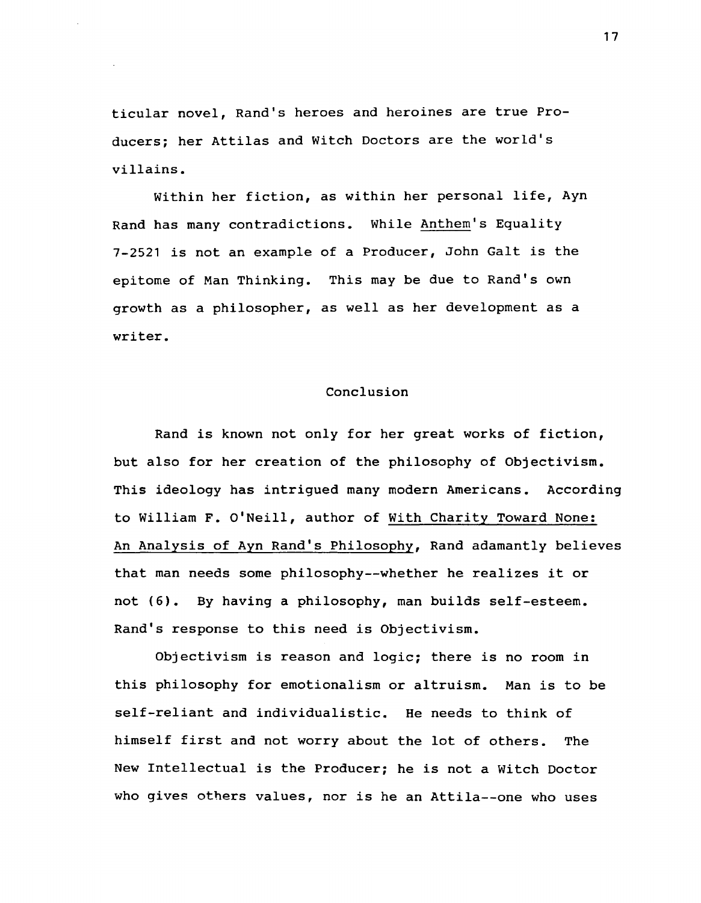ticular novel, Rand's heroes and heroines are true Producers; her Attilas and Witch Doctors are the world's villains.

Within her fiction, as within her personal life, Ayn Rand has many contradictions. While Anthem's Equality 7-2521 is not an example of a Producer, John Galt is the epitome of Man Thinking. This may be due to Rand's own growth as a philosopher, as well as her development as a writer.

# Conclusion

Rand is known not only for her great works of fiction, but also for her creation of the philosophy of Objectivism. This ideology has intrigued many modern Americans. According to William F. O'Neill, author of With Charity Toward None: An Analysis of Ayn Rand's Philosophy, Rand adamantly believes that man needs some philosophy--whether he realizes it or not (6). By having a philosophy, man builds self-esteem. Rand's response to this need is Objectivism.

Objectivism is reason and logic; there is no room in this philosophy for emotionalism or altruism. Man is to be self-reliant and individualistic. He needs to think of himself first and not worry about the lot of others. The New Intellectual is the Producer; he is not a Witch Doctor who gives others values, nor is he an Attila--one who uses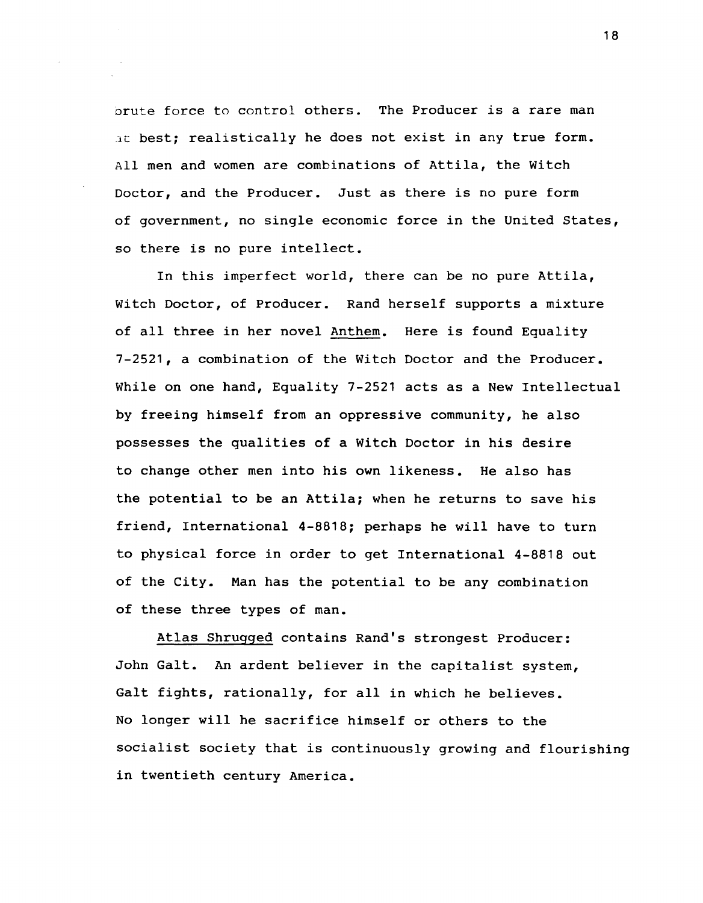orute force to control others. The Producer is a rare man at best: realistically he does not exist in any true form. All men and women are combinations of Attila, the Witch Doctor, and the Producer. Just as there is no pure form of government, no single economic force in the United states, so there is no pure intellect.

In this imperfect world, there can be no pure Attila, Witch Doctor, of Producer. Rand herself supports a mixture of all three in her novel Anthem. Here is found Equality 7-2521, a combination of the Witch Doctor and the Producer. While on one hand, Equality 7-2521 acts as a New Intellectual by freeing himself from an oppressive community, he also possesses the qualities of a Witch Doctor in his desire to change other men into his own likeness. He also has the potential to be an Attila; when he returns to save his friend, International 4-8818; perhaps he will have to turn to physical force in order to get International 4-8818 out of the City. Man has the potential to be any combination of these three types of man.

Atlas Shrugged contains Rand's strongest Producer: John Galt. An ardent believer in the capitalist system, Galt fights, rationally, for all in which he believes. No longer will he sacrifice himself or others to the socialist society that is continuously growing and flourishing in twentieth century America.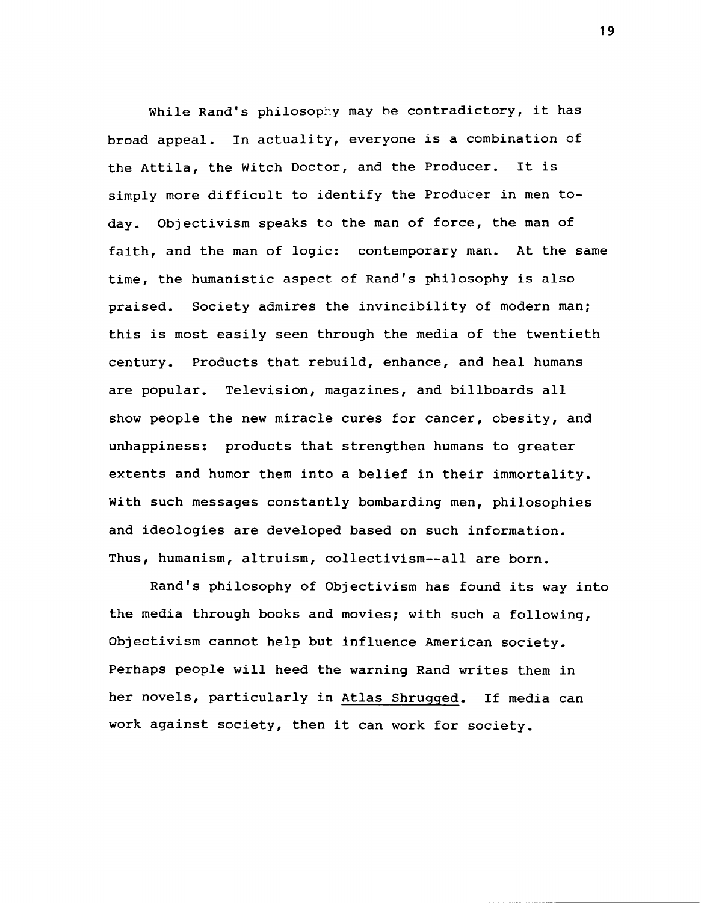While Rand's philosophy may be contradictory, it has broad appeal. In actuality, everyone is a combination of the Attila, the Witch Doctor, and the Producer. It is simply more difficult to identify the Producer in men today. Objectivism speaks to the man of force, the man of faith, and the man of logic: contemporary man. At the same time, the humanistic aspect of Rand's philosophy is also praised. Society admires the invincibility of modern man; this is most easily seen through the media of the twentieth century. Products that rebuild, enhance, and heal humans are popular. Television, magazines, and billboards all show people the new miracle cures for cancer, obesity, and unhappiness: products that strengthen humans to greater extents and humor them into a belief in their immortality. With such messages constantly bombarding men, philosophies and ideologies are developed based on such information. Thus, humanism, altruism, collectivism--all are born.

Rand's philosophy of Objectivism has found its way into the media through books and movies; with such a following, Objectivism cannot help but influence American society. Perhaps people will heed the warning Rand writes them in her novels, particularly in Atlas Shrugged. If media can work against society, then it can work for society.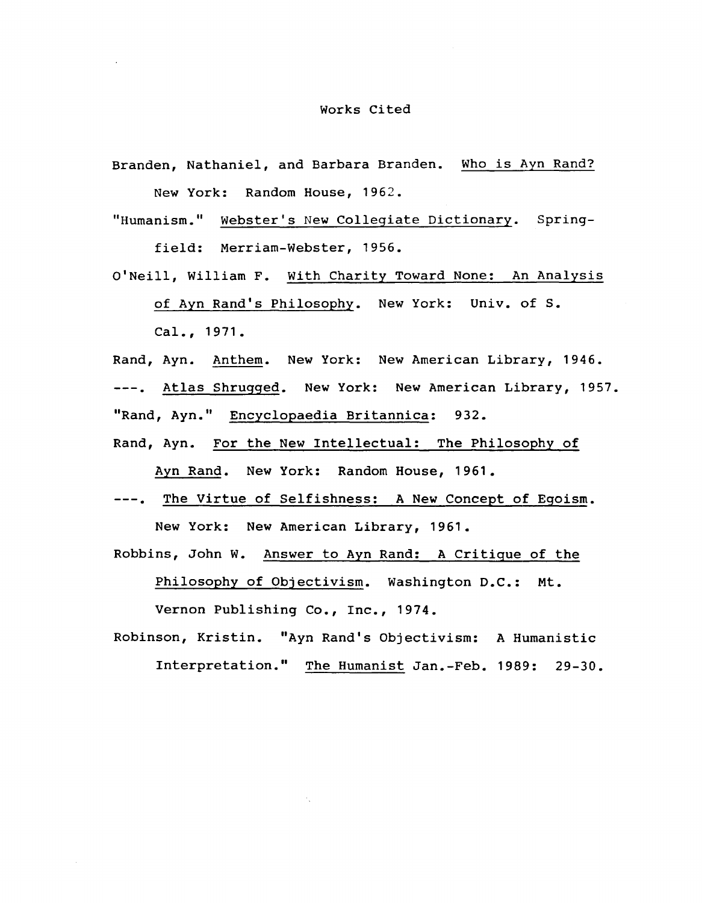#### Works Cited

- Branden, Nathaniel, and Barbara Branden. Who is Ayn Rand? New York: Random House, 1962.
- "Humanism." Webster's New Collegiate Dictionary. Springfield: Merriam-Webster, 1956.
- O'Neill, William F. With Charity Toward None: An Analysis

of Ayn Rand's Philosophy. New York: Univ. of S.

Cal., 1971.

Rand, Ayn. Anthem. New York: New American Library, 1946.

---. Atlas Shrugged. New York: New American Library, 1957. "Rand, Ayn." Encyclopaedia Britannica: 932.

- Rand, Ayn. For the New Intellectual: The Philosophy of Ayn Rand. New York: Random House, 1961.
- ---. The Virtue of Selfishness: A New Concept of Egoism. New York: New American Library, 1961.
- Robbins, John W. Answer to Ayn Rand: A Critigue of the Philosophy of Objectivism. Washington D.C.: Mt.

Vernon Publishing Co., Inc., 1974.

Robinson, Kristin. "Ayn Rand's Objectivism: A Humanistic Interpretation." The Humanist Jan.-Feb. 1989: 29-30.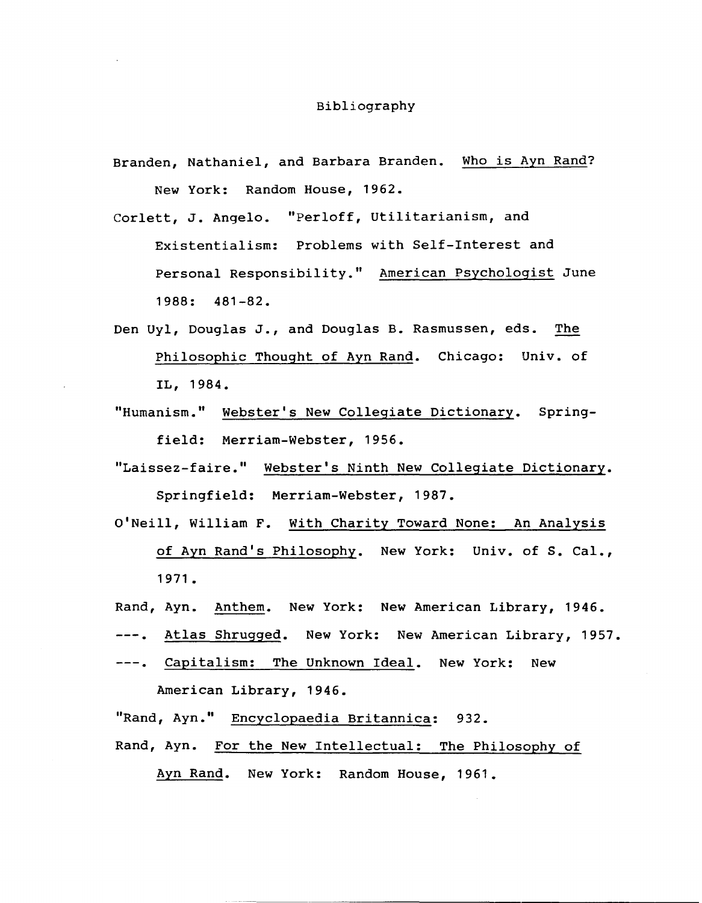Branden, Nathaniel, and Barbara Branden. Who is Ayn Rand? New York: Random House, 1962.

Corlett, J. Angelo. "Perloff, Utilitarianism, and Existentialism: Problems with Self-Interest and Personal Responsibility." American Psychologist June 1988: 481-82.

- Den Uyl, Douglas J., and Douglas B. Rasmussen, eds. The Philosophic Thought of Ayn Rand. Chicago: Univ. of IL, 1984.
- "Humanism." Webster's New Collegiate Dictionary. Springfield: Merriam-Webster, 1956.
- "Laissez-faire." Webster's Ninth New Collegiate Dictionary. Springfield: Merriam-Webster, 1987.
- O'Neill, William F. With Charity Toward None: An Analysis of Ayn Rand's Philosophy. New York: Univ. of S. Cal., 1971.
- Rand, Ayn. Anthem. New York: New American Library, 1946.
- ---. Atlas Shrugged. New York: New American Library, 1957.
- ---. Capitalism: The Unknown Ideal. New York: New American Library, 1946.

"Rand, Ayn." Encyclopaedia Britannica: 932. Rand, Ayn. For the New Intellectual: The Philosophy of Ayn Rand. New York: Random House, 1961.